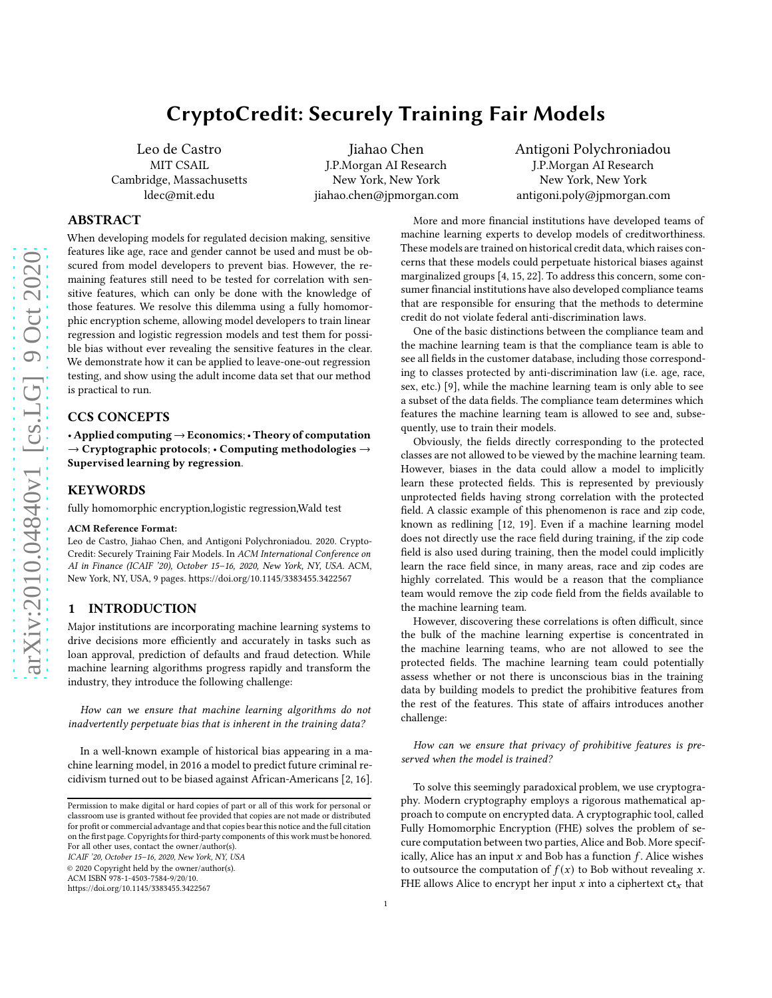# CryptoCredit: Securely Training Fair Models

Leo de Castro MIT CSAIL Cambridge, Massachusetts ldec@mit.edu

Jiahao Chen J.P.Morgan AI Research New York, New York jiahao.chen@jpmorgan.com Antigoni Polychroniadou J.P.Morgan AI Research New York, New York antigoni.poly@jpmorgan.com

## ABSTRACT

When developing models for regulated decision making, sensitive features like age, race and gender cannot be used and must be obscured from model developers to prevent bias. However, the remaining features still need to be tested for correlation with sensitive features, which can only be done with the knowledge of those features. We resolve this dilemma using a fully homomorphic encryption scheme, allowing model developers to train linear regression and logistic regression models and test them for possible bias without ever revealing the sensitive features in the clear. We demonstrate how it can be applied to leave-one-out regression testing, and show using the adult income data set that our method is practical to run.

### CCS CONCEPTS

• Applied computing  $\rightarrow$  Economics; • Theory of computation  $\rightarrow$  Cryptographic protocols; • Computing methodologies  $\rightarrow$ Supervised learning by regression.

#### KEYWORDS

fully homomorphic encryption,logistic regression,Wald test

#### ACM Reference Format:

Leo de Castro, Jiahao Chen, and Antigoni Polychroniadou. 2020. Crypto-Credit: Securely Training Fair Models. In ACM International Conference on AI in Finance (ICAIF '20), October 15–16, 2020, New York, NY, USA. ACM, New York, NY, USA, [9](#page-8-0) pages.<https://doi.org/10.1145/3383455.3422567>

## 1 INTRODUCTION

Major institutions are incorporating machine learning systems to drive decisions more efficiently and accurately in tasks such as loan approval, prediction of defaults and fraud detection. While machine learning algorithms progress rapidly and transform the industry, they introduce the following challenge:

How can we ensure that machine learning algorithms do not inadvertently perpetuate bias that is inherent in the training data?

In a well-known example of historical bias appearing in a machine learning model, in 2016 a model to predict future criminal recidivism turned out to be biased against African-Americans [\[2](#page-6-0), [16](#page-7-0)].

ICAIF '20, October 15–16, 2020, New York, NY, USA

© 2020 Copyright held by the owner/author(s).

ACM ISBN 978-1-4503-7584-9/20/10.

<https://doi.org/10.1145/3383455.3422567>

## machine learning experts to develop models of creditworthiness. These models are trained on historical credit data, which raises concerns that these models could perpetuate historical biases against marginalized groups [\[4,](#page-6-1) [15](#page-7-1), [22](#page-7-2)]. To address this concern, some consumer financial institutions have also developed compliance teams that are responsible for ensuring that the methods to determine credit do not violate federal anti-discrimination laws. One of the basic distinctions between the compliance team and

More and more financial institutions have developed teams of

the machine learning team is that the compliance team is able to see all fields in the customer database, including those corresponding to classes protected by anti-discrimination law (i.e. age, race, sex, etc.) [\[9\]](#page-6-2), while the machine learning team is only able to see a subset of the data fields. The compliance team determines which features the machine learning team is allowed to see and, subsequently, use to train their models.

Obviously, the fields directly corresponding to the protected classes are not allowed to be viewed by the machine learning team. However, biases in the data could allow a model to implicitly learn these protected fields. This is represented by previously unprotected fields having strong correlation with the protected field. A classic example of this phenomenon is race and zip code, known as redlining [\[12,](#page-6-3) [19](#page-7-3)]. Even if a machine learning model does not directly use the race field during training, if the zip code field is also used during training, then the model could implicitly learn the race field since, in many areas, race and zip codes are highly correlated. This would be a reason that the compliance team would remove the zip code field from the fields available to the machine learning team.

However, discovering these correlations is often difficult, since the bulk of the machine learning expertise is concentrated in the machine learning teams, who are not allowed to see the protected fields. The machine learning team could potentially assess whether or not there is unconscious bias in the training data by building models to predict the prohibitive features from the rest of the features. This state of affairs introduces another challenge:

How can we ensure that privacy of prohibitive features is preserved when the model is trained?

To solve this seemingly paradoxical problem, we use cryptography. Modern cryptography employs a rigorous mathematical approach to compute on encrypted data. A cryptographic tool, called Fully Homomorphic Encryption (FHE) solves the problem of secure computation between two parties, Alice and Bob. More specifically, Alice has an input  $x$  and Bob has a function  $f$ . Alice wishes to outsource the computation of  $f(x)$  to Bob without revealing x. FHE allows Alice to encrypt her input  $x$  into a ciphertext  $ct_x$  that

Permission to make digital or hard copies of part or all of this work for personal or classroom use is granted without fee provided that copies are not made or distributed for profit or commercial advantage and that copies bear this notice and the full citation on the first page. Copyrights for third-party components of this work must be honored. For all other uses, contact the owner/author(s).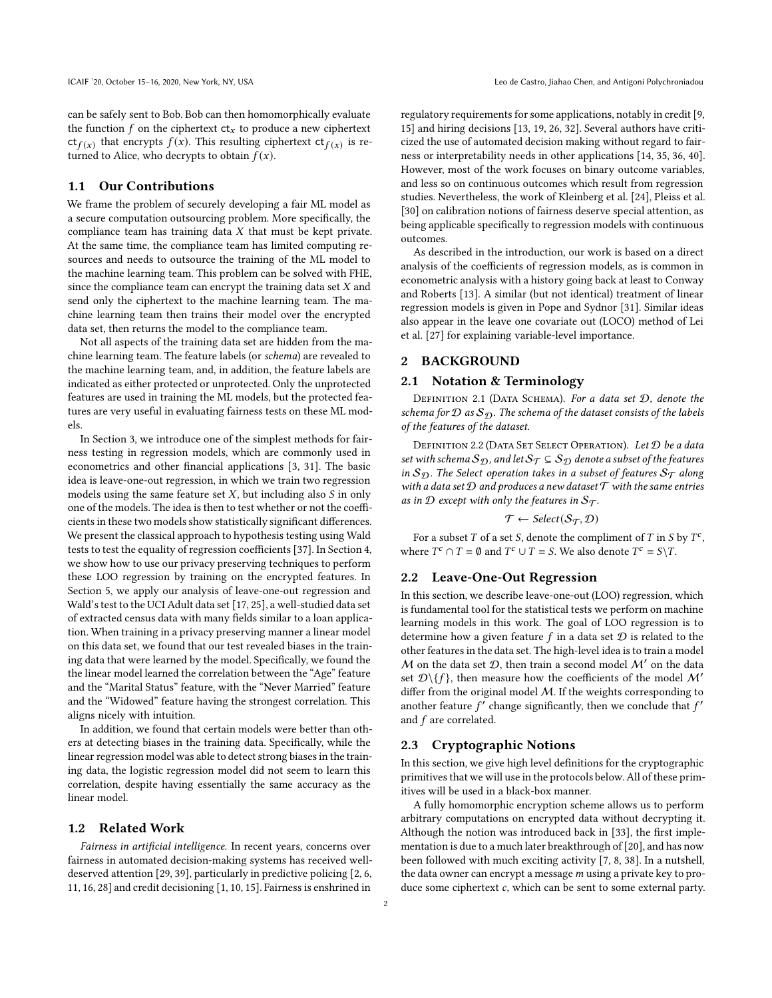can be safely sent to Bob. Bob can then homomorphically evaluate the function  $f$  on the ciphertext  $ct_x$  to produce a new ciphertext  $ct_{f(x)}$  that encrypts  $f(x)$ . This resulting ciphertext  $ct_{f(x)}$  is returned to Alice, who decrypts to obtain  $f(x)$ .

## 1.1 Our Contributions

We frame the problem of securely developing a fair ML model as a secure computation outsourcing problem. More specifically, the compliance team has training data  $X$  that must be kept private. At the same time, the compliance team has limited computing resources and needs to outsource the training of the ML model to the machine learning team. This problem can be solved with FHE, since the compliance team can encrypt the training data set  $X$  and send only the ciphertext to the machine learning team. The machine learning team then trains their model over the encrypted data set, then returns the model to the compliance team.

Not all aspects of the training data set are hidden from the machine learning team. The feature labels (or schema) are revealed to the machine learning team, and, in addition, the feature labels are indicated as either protected or unprotected. Only the unprotected features are used in training the ML models, but the protected features are very useful in evaluating fairness tests on these ML models.

In Section [3,](#page-2-0) we introduce one of the simplest methods for fairness testing in regression models, which are commonly used in econometrics and other financial applications [\[3,](#page-6-4) [31\]](#page-7-4). The basic idea is leave-one-out regression, in which we train two regression models using the same feature set  $X$ , but including also  $S$  in only one of the models. The idea is then to test whether or not the coefficients in these two models show statistically significant differences. We present the classical approach to hypothesis testing using Wald tests to test the equality of regression coefficients [\[37](#page-7-5)]. In Section [4,](#page-3-0) we show how to use our privacy preserving techniques to perform these LOO regression by training on the encrypted features. In Section [5,](#page-5-0) we apply our analysis of leave-one-out regression and Wald's test to the UCI Adult data set [\[17,](#page-7-6) [25](#page-7-7)], a well-studied data set of extracted census data with many fields similar to a loan application. When training in a privacy preserving manner a linear model on this data set, we found that our test revealed biases in the training data that were learned by the model. Specifically, we found the the linear model learned the correlation between the "Age" feature and the "Marital Status" feature, with the "Never Married" feature and the "Widowed" feature having the strongest correlation. This aligns nicely with intuition.

In addition, we found that certain models were better than others at detecting biases in the training data. Specifically, while the linear regression model was able to detect strong biases in the training data, the logistic regression model did not seem to learn this correlation, despite having essentially the same accuracy as the linear model.

#### 1.2 Related Work

Fairness in artificial intelligence. In recent years, concerns over fairness in automated decision-making systems has received welldeserved attention [\[29,](#page-7-8) [39\]](#page-8-1), particularly in predictive policing [\[2,](#page-6-0) [6](#page-6-5), [11,](#page-6-6) [16,](#page-7-0) [28\]](#page-7-9) and credit decisioning [\[1](#page-6-7), [10,](#page-6-8) [15\]](#page-7-1). Fairness is enshrined in

regulatory requirements for some applications, notably in credit [\[9](#page-6-2), [15](#page-7-1)] and hiring decisions [\[13,](#page-6-9) [19,](#page-7-3) [26,](#page-7-10) [32](#page-7-11)]. Several authors have criticized the use of automated decision making without regard to fairness or interpretability needs in other applications [\[14,](#page-6-10) [35](#page-7-12), [36,](#page-7-13) [40\]](#page-8-2). However, most of the work focuses on binary outcome variables, and less so on continuous outcomes which result from regression studies. Nevertheless, the work of Kleinberg et al. [\[24](#page-7-14)], Pleiss et al. [\[30\]](#page-7-15) on calibration notions of fairness deserve special attention, as being applicable specifically to regression models with continuous outcomes.

As described in the introduction, our work is based on a direct analysis of the coefficients of regression models, as is common in econometric analysis with a history going back at least to Conway and Roberts [\[13](#page-6-9)]. A similar (but not identical) treatment of linear regression models is given in Pope and Sydnor [\[31\]](#page-7-4). Similar ideas also appear in the leave one covariate out (LOCO) method of Lei et al. [\[27](#page-7-16)] for explaining variable-level importance.

### 2 BACKGROUND

#### 2.1 Notation & Terminology

DEFINITION 2.1 (DATA SCHEMA). For a data set  $D$ , denote the schema for  $\mathcal D$  as  $\mathcal S_{\mathcal D}$ . The schema of the dataset consists of the labels of the features of the dataset.

DEFINITION 2.2 (DATA SET SELECT OPERATION). Let D be a data set with schema  $S_{\mathcal{D}}$ , and let  $S_{\mathcal{T}} \subseteq S_{\mathcal{D}}$  denote a subset of the features in  $S_{\mathcal{D}}$ . The Select operation takes in a subset of features  $S_{\mathcal{T}}$  along with a data set  $D$  and produces a new dataset  $T$  with the same entries as in  $\mathcal D$  except with only the features in  $\mathcal S_{\mathcal T}$ .

$$
\mathcal{T} \leftarrow \mathit{Select}(\mathcal{S_T}, \mathcal{D})
$$

For a subset  $T$  of a set  $S$ , denote the compliment of  $T$  in  $S$  by  $T<sup>c</sup>$ , where  $T^c \cap T = \emptyset$  and  $T^c \cup T = S$ . We also denote  $T^c = S \setminus T$ .

#### 2.2 Leave-One-Out Regression

In this section, we describe leave-one-out (LOO) regression, which is fundamental tool for the statistical tests we perform on machine learning models in this work. The goal of LOO regression is to determine how a given feature  $f$  in a data set  $D$  is related to the other features in the data set. The high-level idea is to train a model M on the data set  $D$ , then train a second model  $M'$  on the data set  $\mathcal{D}\setminus\{f\}$ , then measure how the coefficients of the model M' differ from the original model  $M$ . If the weights corresponding to another feature  $f'$  change significantly, then we conclude that  $f'$ and f are correlated.

#### 2.3 Cryptographic Notions

In this section, we give high level definitions for the cryptographic primitives that we will use in the protocols below. All of these primitives will be used in a black-box manner.

A fully homomorphic encryption scheme allows us to perform arbitrary computations on encrypted data without decrypting it. Although the notion was introduced back in [\[33\]](#page-7-17), the first implementation is due to a much later breakthrough of [\[20\]](#page-7-18), and has now been followed with much exciting activity [\[7,](#page-6-11) [8](#page-6-12), [38\]](#page-8-3). In a nutshell, the data owner can encrypt a message  $m$  using a private key to produce some ciphertext  $c$ , which can be sent to some external party.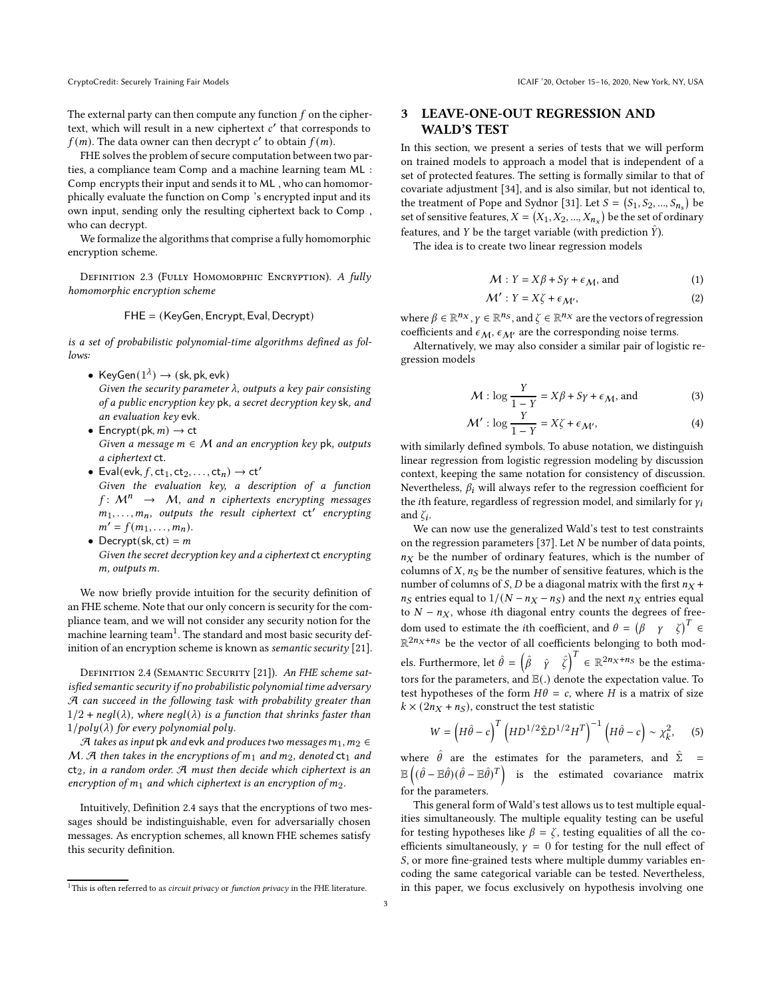The external party can then compute any function  $f$  on the ciphertext, which will result in a new ciphertext  $c'$  that corresponds to  $f(m)$ . The data owner can then decrypt  $c'$  to obtain  $f(m)$ .

FHE solves the problem of secure computation between two parties, a compliance team Comp and a machine learning team ML : Comp encrypts their input and sends it to ML , who can homomorphically evaluate the function on Comp 's encrypted input and its own input, sending only the resulting ciphertext back to Comp , who can decrypt.

We formalize the algorithms that comprise a fully homomorphic encryption scheme.

DEFINITION 2.3 (FULLY HOMOMORPHIC ENCRYPTION). A fully homomorphic encryption scheme

$$
\mathsf{FHE} = (\mathsf{KeyGen}, \mathsf{Encrypt}, \mathsf{Eval}, \mathsf{Decrypt})
$$

is a set of probabilistic polynomial-time algorithms defined as follows:

- KeyGen $(1^{\lambda}) \rightarrow (sk, pk, evk)$ Given the security parameter  $\lambda$ , outputs a key pair consisting of a public encryption key pk, a secret decryption key sk, and an evaluation key evk.
- Encrypt(pk,  $m$ )  $\rightarrow$  ct Given a message  $m \in M$  and an encryption key pk, outputs a ciphertext ct.
- Eval(evk,  $f$ , ct<sub>1</sub>, ct<sub>2</sub>, . . . , ct<sub>n</sub>)  $\rightarrow$  ct' Given the evaluation key, a description of a function  $f: M^n \rightarrow M$ , and n ciphertexts encrypting messages  $m_1, \ldots, m_n$ , outputs the result ciphertext  $ct'$  encrypting  $m' = f(m_1, \ldots, m_n).$
- Decrypt(sk, ct) =  $m$ Given the secret decryption key and a ciphertext ct encrypting m, outputs m.

We now briefly provide intuition for the security definition of an FHE scheme. Note that our only concern is security for the compliance team, and we will not consider any security notion for the machine learning team $^1.$  The standard and most basic security definition of an encryption scheme is known as *semantic security* [\[21](#page-7-19)].

<span id="page-2-1"></span>DEFINITION 2.4 (SEMANTIC SECURITY [\[21](#page-7-19)]). An FHE scheme satisfied semantic security if no probabilistic polynomial time adversary A can succeed in the following task with probability greater than  $1/2$  + negl( $\lambda$ ), where negl( $\lambda$ ) is a function that shrinks faster than  $1/poly(\lambda)$  for every polynomial poly.

A takes as input pk and evk and produces two messages  $m_1, m_2 \in$ M. A then takes in the encryptions of  $m_1$  and  $m_2$ , denoted  $ct_1$  and  $ct_2$ , in a random order. A must then decide which ciphertext is an encryption of  $m_1$  and which ciphertext is an encryption of  $m_2$ .

Intuitively, Definition [2.4](#page-2-1) says that the encryptions of two messages should be indistinguishable, even for adversarially chosen messages. As encryption schemes, all known FHE schemes satisfy this security definition.

CryptoCredit: Securely Training Fair Models **ICAIF '20, October 15-16, 2020, New York**, NY, USA

## <span id="page-2-0"></span>3 LEAVE-ONE-OUT REGRESSION AND WALD'S TEST

In this section, we present a series of tests that we will perform on trained models to approach a model that is independent of a set of protected features. The setting is formally similar to that of covariate adjustment [\[34\]](#page-7-20), and is also similar, but not identical to, the treatment of Pope and Sydnor [\[31\]](#page-7-4). Let  $S = (S_1, S_2, ..., S_{n_s})$  be set of sensitive features,  $X = (X_1, X_2, ..., X_{n_x})$  be the set of ordinary features, and Y be the target variable (with prediction  $\hat{Y}$ ).

The idea is to create two linear regression models

 $M$   $N$   $N$ 

<span id="page-2-3"></span><span id="page-2-2"></span>
$$
M: Y = X\beta + S\gamma + \epsilon_M, \text{ and } \tag{1}
$$

$$
\mathcal{M}' : Y = X\zeta + \epsilon_{\mathcal{M}'},\tag{2}
$$

where  $\beta \in \mathbb{R}^{n_X}$ ,  $\gamma \in \mathbb{R}^{n_S}$ , and  $\zeta \in \mathbb{R}^{n_X}$  are the vectors of regression coefficients and  $\epsilon_M$ ,  $\epsilon_{M'}$  are the corresponding noise terms.

Alternatively, we may also consider a similar pair of logistic regression models

<span id="page-2-5"></span><span id="page-2-4"></span>
$$
\mathcal{M} : \log \frac{Y}{1 - Y} = X\beta + S\gamma + \epsilon_{\mathcal{M}}, \text{ and}
$$
 (3)

$$
\mathcal{M}' : \log \frac{Y}{1 - Y} = X\zeta + \epsilon_{\mathcal{M}'},\tag{4}
$$

with similarly defined symbols. To abuse notation, we distinguish linear regression from logistic regression modeling by discussion context, keeping the same notation for consistency of discussion. Nevertheless,  $\beta_i$  will always refer to the regression coefficient for the *i*th feature, regardless of regression model, and similarly for  $\gamma_i$ and  $\zeta_i$ .

We can now use the generalized Wald's test to test constraints on the regression parameters [\[37](#page-7-5)]. Let  $N$  be number of data points,  $n_X$  be the number of ordinary features, which is the number of columns of  $X$ ,  $n<sub>S</sub>$  be the number of sensitive features, which is the number of columns of S, D be a diagonal matrix with the first  $n_X$  +  $n<sub>S</sub>$  entries equal to  $1/(N - n<sub>X</sub> - n<sub>S</sub>)$  and the next  $n<sub>X</sub>$  entries equal to  $N - n_X$ , whose *i*th diagonal entry counts the degrees of freedom used to estimate the *i*th coefficient, and  $\theta = (\beta \gamma \zeta)^T \in$  $\mathbb{R}^{2n_X+n_S}$  be the vector of all coefficients belonging to both models. Furthermore, let  $\hat{\theta} = \begin{pmatrix} \hat{\beta} & \hat{\gamma} & \hat{\zeta} \end{pmatrix}^T \in \mathbb{R}^{2n_X+n_S}$  be the estimators for the parameters, and <sup>E</sup>(.) denote the expectation value. To test hypotheses of the form  $H\theta = c$ , where *H* is a matrix of size  $k \times (2n_X + n_S)$ , construct the test statistic

$$
W = \left(H\hat{\theta} - c\right)^{T} \left(HD^{1/2}\hat{\Sigma}D^{1/2}H^{T}\right)^{-1} \left(H\hat{\theta} - c\right) \sim \chi_{k}^{2},\qquad(5)
$$

where  $\hat{\theta}$  are the estimates for the parameters, and  $\hat{\Sigma}$  = e (  $(\hat{\theta} - \mathbb{E}\hat{\theta})(\hat{\theta} - \mathbb{E}\hat{\theta})^T$  is the estimated covariance matrix for the parameters.

This general form of Wald's test allows us to test multiple equalities simultaneously. The multiple equality testing can be useful for testing hypotheses like  $\beta = \zeta$ , testing equalities of all the coefficients simultaneously,  $\gamma = 0$  for testing for the null effect of S, or more fine-grained tests where multiple dummy variables encoding the same categorical variable can be tested. Nevertheless, in this paper, we focus exclusively on hypothesis involving one

 $1$ This is often referred to as *circuit privacy* or *function privacy* in the FHE literature.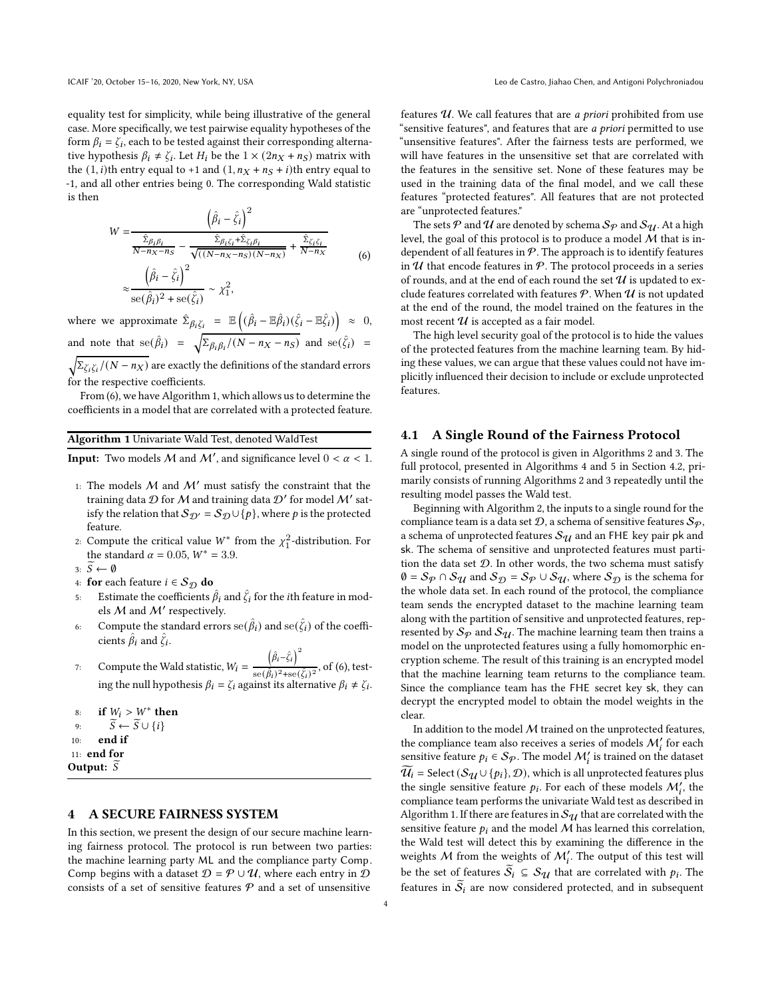equality test for simplicity, while being illustrative of the general case. More specifically, we test pairwise equality hypotheses of the form  $\beta_i = \zeta_i$ , each to be tested against their corresponding alternative hypothesis  $\beta_i \neq \zeta_i$ . Let  $H_i$  be the  $1 \times (2n_X + n_S)$  matrix with the  $(1, i)$ th entry equal to +1 and  $(1, n_X + n_S + i)$ th entry equal to -1, and all other entries being 0. The corresponding Wald statistic is then

<span id="page-3-1"></span>
$$
W = \frac{\left(\hat{\beta}_i - \hat{\zeta}_i\right)^2}{\frac{\hat{\Sigma}_{\beta_i \beta_i}}{N - n_X - n_S} - \frac{\hat{\Sigma}_{\beta_i \zeta_i} + \hat{\Sigma}_{\zeta_i \beta_i}}{\sqrt{\left((N - n_X - n_S)(N - n_X)}\right)} + \frac{\hat{\Sigma}_{\zeta_i \zeta_i}}{N - n_X}}
$$
\n
$$
\approx \frac{\left(\hat{\beta}_i - \hat{\zeta}_i\right)^2}{\text{se}(\hat{\beta}_i)^2 + \text{se}(\hat{\zeta}_i)} \sim \chi_1^2,
$$
\n(6)

where we approximate  $\hat{\Sigma}_{\beta_i \zeta_i} = \mathbb{E}$  $(\hat{\beta}_i - \mathbb{E}\hat{\beta}_i)(\hat{\zeta}_i - \mathbb{E}\hat{\zeta}_i)\ \approx\ 0,$ and note that  $se(\hat{\beta}_i) = \sqrt{\sum_{\beta_i, \beta_i} (N - n_X - n_S)}$  and  $se(\hat{\zeta}_i) =$  $\sqrt{\sum_{\zeta_i\zeta_i}/(N-n_X)}$  are exactly the definitions of the standard errors

for the respective coefficients.

From [\(6\)](#page-3-1), we have Algorithm [1,](#page-3-2) which allows us to determine the coefficients in a model that are correlated with a protected feature.

<span id="page-3-2"></span>Algorithm 1 Univariate Wald Test, denoted WaldTest

**Input:** Two models M and M', and significance level  $0 < \alpha < 1$ .

- 1: The models  $M$  and  $M'$  must satisfy the constraint that the training data  $D$  for  $M$  and training data  $D'$  for model  $M'$  satisfy the relation that  $S_{\mathcal{D}'} = S_{\mathcal{D}} \cup \{p\}$ , where p is the protected feature.
- 2: Compute the critical value  $W^*$  from the  $\chi_1^2$ -distribution. For the standard  $\alpha = 0.05$ ,  $W^* = 3.9$ .
- 3:  $\overline{S} \leftarrow \emptyset$
- 4: **for** each feature  $i \in S_{\mathcal{D}}$  **do**<br>5: Estimate the coefficients  $\beta$
- Estimate the coefficients  $\hat{\beta}_i$  and  $\hat{\zeta}_i$  for the *i*th feature in models  $M$  and  $M'$  respectively.
- 6: Compute the standard errors  $se(\hat{\beta}_i)$  and  $se(\hat{\zeta}_i)$  of the coefficients  $\hat{\beta}_i$  and  $\hat{\zeta}_i$ .
- 7: Compute the Wald statistic,  $W_i =$  $(\hat{\beta}_i - \hat{\zeta}_i)^2$  $\frac{\delta^{(1)}(i)}{\sin(\hat{\beta}_i)^2 + \sin(\hat{\zeta}_i)^2}$ , of [\(6\)](#page-3-1), testing the null hypothesis  $\beta_i = \zeta_i$  against its alternative  $\beta_i \neq \zeta_i$ .
- 8: if  $W_i > W^*$  then
- 9:  $\widetilde{S} \leftarrow \widetilde{S} \cup \{i\}$ <br>10: **end if**
- end if
- 11: end for
- Output:  $S$

#### <span id="page-3-0"></span>4 A SECURE FAIRNESS SYSTEM

In this section, we present the design of our secure machine learning fairness protocol. The protocol is run between two parties: the machine learning party ML and the compliance party Comp. Comp begins with a dataset  $D = P \cup U$ , where each entry in D consists of a set of sensitive features  $P$  and a set of unsensitive

features  $U$ . We call features that are *a priori* prohibited from use "sensitive features", and features that are a priori permitted to use "unsensitive features". After the fairness tests are performed, we will have features in the unsensitive set that are correlated with the features in the sensitive set. None of these features may be used in the training data of the final model, and we call these features "protected features". All features that are not protected are "unprotected features."

The sets P and U are denoted by schema  $\mathcal{S}_{\mathcal{P}}$  and  $\mathcal{S}_{\mathcal{U}}$ . At a high level, the goal of this protocol is to produce a model  $M$  that is independent of all features in  $P$ . The approach is to identify features in  $U$  that encode features in  $P$ . The protocol proceeds in a series of rounds, and at the end of each round the set  $\mathcal U$  is updated to exclude features correlated with features  $P$ . When  $U$  is not updated at the end of the round, the model trained on the features in the most recent  $\mathcal U$  is accepted as a fair model.

The high level security goal of the protocol is to hide the values of the protected features from the machine learning team. By hiding these values, we can argue that these values could not have implicitly influenced their decision to include or exclude unprotected features.

#### <span id="page-3-3"></span>4.1 A Single Round of the Fairness Protocol

A single round of the protocol is given in Algorithms [2](#page-4-0) and [3.](#page-4-1) The full protocol, presented in Algorithms [4](#page-4-2) and [5](#page-5-1) in Section [4.2,](#page-4-3) primarily consists of running Algorithms [2](#page-4-0) and [3](#page-4-1) repeatedly until the resulting model passes the Wald test.

Beginning with Algorithm [2,](#page-4-0) the inputs to a single round for the compliance team is a data set  $\mathcal{D}$ , a schema of sensitive features  $\mathcal{S}_{\varphi}$ , a schema of unprotected features  $\mathcal{S}_{\mathcal{U}}$  and an FHE key pair pk and sk. The schema of sensitive and unprotected features must partition the data set  $D$ . In other words, the two schema must satisfy  $\emptyset = S_{\mathcal{P}} \cap S_{\mathcal{U}}$  and  $S_{\mathcal{D}} = S_{\mathcal{P}} \cup S_{\mathcal{U}}$ , where  $S_{\mathcal{D}}$  is the schema for the whole data set. In each round of the protocol, the compliance team sends the encrypted dataset to the machine learning team along with the partition of sensitive and unprotected features, represented by  $S_p$  and  $S_q$ . The machine learning team then trains a model on the unprotected features using a fully homomorphic encryption scheme. The result of this training is an encrypted model that the machine learning team returns to the compliance team. Since the compliance team has the FHE secret key sk, they can decrypt the encrypted model to obtain the model weights in the clear.

In addition to the model  $M$  trained on the unprotected features, the compliance team also receives a series of models  $\mathcal{M}'_i$  for each sensitive feature  $p_i \in S_{\mathcal{P}}$ . The model  $\mathcal{M}'_i$  is trained on the dataset  $\widetilde{\mathcal{U}_i}$  = Select ( $\mathcal{S}_{\mathcal{U}} \cup \{p_i\}, \mathcal{D}$ ), which is all unprotected features plus the single sensitive feature  $p_i$ . For each of these models  $\mathcal{M}'_i$ , the compliance team performs the univariate Wald test as described in Algorithm [1.](#page-3-2) If there are features in  $\mathcal{S}_{qI}$  that are correlated with the sensitive feature  $p_i$  and the model M has learned this correlation, the Wald test will detect this by examining the difference in the weights M from the weights of  $M_i'$ . The output of this test will be the set of features  $S_i \subseteq S_{\mathcal{U}}$  that are correlated with  $p_i$ . The features in  $S_i$  are now considered protected, and in subsequent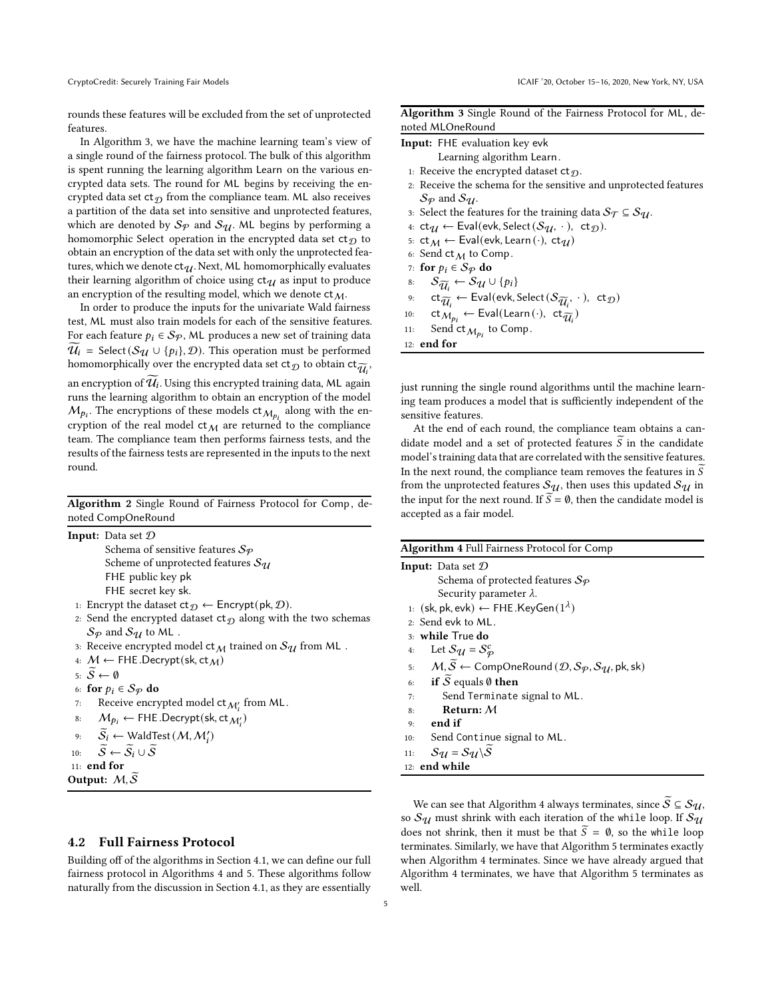rounds these features will be excluded from the set of unprotected features.

In Algorithm [3,](#page-4-1) we have the machine learning team's view of a single round of the fairness protocol. The bulk of this algorithm is spent running the learning algorithm Learn on the various encrypted data sets. The round for ML begins by receiving the encrypted data set  $ct_{\mathcal{D}}$  from the compliance team. ML also receives a partition of the data set into sensitive and unprotected features, which are denoted by  $S_p$  and  $S_q$ . ML begins by performing a homomorphic Select operation in the encrypted data set  $ct_{\mathcal{D}}$  to obtain an encryption of the data set with only the unprotected features, which we denote  $ct_{\mathcal{U}}$ . Next, ML homomorphically evaluates their learning algorithm of choice using  $ct_{\mathcal{U}}$  as input to produce an encryption of the resulting model, which we denote  $ct_{M}$ .

In order to produce the inputs for the univariate Wald fairness test, ML must also train models for each of the sensitive features. For each feature  $p_i \in S_{\mathcal{P}}$ , ML produces a new set of training data  $U_i$  = Select( $S_{\mathcal{U}} \cup \{p_i\}, \mathcal{D}$ ). This operation must be performed homomorphically over the encrypted data set  $\mathsf{ct}_\mathcal{D}$  to obtain  $\mathsf{ct}_{\widetilde{\mathcal{U}}_i}$ , an encryption of  $\mathcal{U}_i$ . Using this encrypted training data, ML again runs the learning algorithm to obtain an encryption of the model  $M_{p_i}$ . The encryptions of these models  $ct_{M_{p_i}}$  along with the encryption of the real model  $ct_M$  are returned to the compliance team. The compliance team then performs fairness tests, and the results of the fairness tests are represented in the inputs to the next round.

<span id="page-4-0"></span>Algorithm 2 Single Round of Fairness Protocol for Comp, denoted CompOneRound

|     | <b>Input:</b> Data set $D$                                                                    |
|-----|-----------------------------------------------------------------------------------------------|
|     | Schema of sensitive features $S_{\mathcal{P}}$                                                |
|     | Scheme of unprotected features $\mathcal{S}_{\mathcal{U}}$                                    |
|     | FHE public key pk                                                                             |
|     | FHE secret key sk.                                                                            |
|     | 1: Encrypt the dataset $ct_{\mathcal{D}} \leftarrow$ Encrypt(pk, D).                          |
|     | 2: Send the encrypted dataset $ct_{\mathcal{D}}$ along with the two schemas                   |
|     | $\mathcal{S}_{\mathcal{P}}$ and $\mathcal{S}_{\mathcal{U}}$ to ML.                            |
|     | 3: Receive encrypted model $ct_{\mathcal{M}}$ trained on $\mathcal{S}_{\mathcal{U}}$ from ML. |
|     | 4: $M \leftarrow$ FHE.Decrypt(sk, ct $_M$ )                                                   |
|     | $\overline{s}: \overline{S} \leftarrow \emptyset$                                             |
|     | 6: for $p_i \in S_{\mathcal{P}}$ do                                                           |
| 7:  | Receive encrypted model $ct_{\mathcal{M}'_i}$ from ML.                                        |
| 8:  | $M_{p_i} \leftarrow$ FHE .Decrypt(sk, ct $_{\mathcal{M}'_i}$ )                                |
|     | 9: $\widetilde{S}_i \leftarrow$ WaldTest $(M, M'_i)$                                          |
| 10: | $\widetilde{S} \leftarrow \widetilde{S}_i \cup \widetilde{S}$                                 |
|     | $11:$ end for                                                                                 |
|     | Output: $M, S$                                                                                |
|     |                                                                                               |

#### <span id="page-4-3"></span>4.2 Full Fairness Protocol

Building off of the algorithms in Section [4.1,](#page-3-3) we can define our full fairness protocol in Algorithms [4](#page-4-2) and [5.](#page-5-1) These algorithms follow naturally from the discussion in Section [4.1,](#page-3-3) as they are essentially

<span id="page-4-1"></span>

| Algorithm 3 Single Round of the Fairness Protocol for ML, de- |  |  |  |  |
|---------------------------------------------------------------|--|--|--|--|
| noted MLOneRound                                              |  |  |  |  |

|  |  | <b>Input:</b> FHE evaluation key evk |  |  |
|--|--|--------------------------------------|--|--|
|--|--|--------------------------------------|--|--|

- Learning algorithm Learn.
- 1: Receive the encrypted dataset  $ct_{\mathcal{D}}$ .
- 2: Receive the schema for the sensitive and unprotected features  $\mathcal{S}_{\mathcal{P}}$  and  $\mathcal{S}_{\mathcal{U}}$ .
- 3: Select the features for the training data  $S_{\mathcal{T}} \subseteq S_{\mathcal{U}}$ .
- 4:  $ct_{\mathcal{U}} \leftarrow \text{Eval}(\text{evk}, \text{Select}(\mathcal{S}_{\mathcal{U}}, \cdot), \text{ ct}_{\mathcal{D}}).$
- 5:  $ct_M \leftarrow$  Eval(evk, Learn  $(\cdot)$ ,  $ct_U$ )
- 6: Send  $ct_M$  to Comp.
- 7: for  $p_i \in S_{\mathcal{P}}$  do<br>8:  $S_{\widetilde{\sigma i}} \leftarrow S_{q_i} \cup$
- 
- 8:  $S_{\widetilde{u}_i} \leftarrow S_{\mathcal{U}} \cup \{p_i\}$ 9:  $ct_{\widetilde{\mathcal{U}}_i} \leftarrow \text{Eval}(\text{evk}, \text{Select}(\mathcal{S}_{\widetilde{\mathcal{U}}_i}, \cdot), ct_{\mathcal{D}})$
- 10:  $ct_{M_{pi}} \leftarrow \text{Eval}(\text{Learn}(\cdot), ct_{\widetilde{U}_i})$
- 11: Send  $ct_{\mathcal{M}_{p_i}}$  to Comp.

12: end for

just running the single round algorithms until the machine learning team produces a model that is sufficiently independent of the sensitive features.

At the end of each round, the compliance team obtains a candidate model and a set of protected features  $S$  in the candidate model's training data that are correlated with the sensitive features. In the next round, the compliance team removes the features in  $\tilde{S}$ from the unprotected features  $\mathcal{S}_{\mathcal{U}}$ , then uses this updated  $\mathcal{S}_{\mathcal{U}}$  in the input for the next round. If  $\widetilde{S} = \emptyset$ , then the candidate model is accepted as a fair model.

<span id="page-4-2"></span>

|             | <b>Algorithm 4 Full Fairness Protocol for Comp</b>                                                           |
|-------------|--------------------------------------------------------------------------------------------------------------|
|             | <b>Input:</b> Data set $D$                                                                                   |
|             | Schema of protected features $S_{\varphi}$                                                                   |
|             | Security parameter $\lambda$ .                                                                               |
|             | 1: $(\mathsf{sk}, \mathsf{pk}, \mathsf{evk}) \leftarrow \mathsf{FHE}.\mathsf{KeyGen}(1^{\lambda})$           |
|             | $2:$ Send evk to ML.                                                                                         |
|             | 3: while True do                                                                                             |
| 4:          | Let $S_{\mathcal{U}} = S_{\varphi}^c$                                                                        |
| 5.          | $M, \widetilde{S} \leftarrow$ CompOneRound $(D, S_{\mathcal{P}}, S_{\mathcal{U}}, \mathsf{pk}, \mathsf{sk})$ |
| 6:          | if $\overline{S}$ equals $\emptyset$ then                                                                    |
| 7:          | Send Terminate signal to ML.                                                                                 |
| 8:          | Return: $M$                                                                                                  |
| $q_{\cdot}$ | end if                                                                                                       |
| 10:         | Send Continue signal to ML.                                                                                  |
| 11:         | $S_{11} = S_{11} \backslash S$                                                                               |
|             | 12: end while                                                                                                |

We can see that Algorithm [4](#page-4-2) always terminates, since  $S \subseteq S_{\mathcal{U}}$ , so  $S_{\mathcal{U}}$  must shrink with each iteration of the while loop. If  $S_{\mathcal{U}}$ does not shrink, then it must be that  $\widetilde{S} = \emptyset$ , so the while loop terminates. Similarly, we have that Algorithm [5](#page-5-1) terminates exactly when Algorithm [4](#page-4-2) terminates. Since we have already argued that Algorithm [4](#page-4-2) terminates, we have that Algorithm [5](#page-5-1) terminates as well.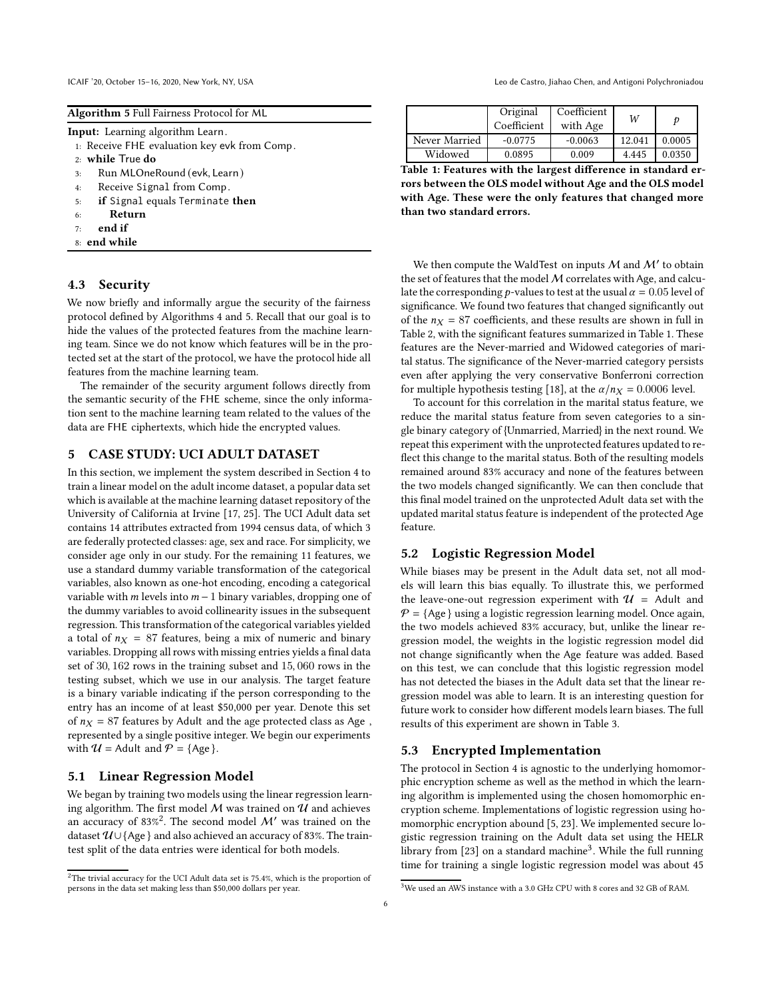<span id="page-5-1"></span>

| Algorithm 5 Full Fairness Protocol for ML |  |  |  |  |  |  |
|-------------------------------------------|--|--|--|--|--|--|
|-------------------------------------------|--|--|--|--|--|--|

Input: Learning algorithm Learn.

- 1: Receive FHE evaluation key evk from Comp.
- 2: while True do
- 3: Run MLOneRound (evk, Learn)
- 4: Receive Signal from Comp.
- 5: if Signal equals Terminate then
- 6: Return
- 7: end if
- 8: end while

#### 4.3 Security

We now briefly and informally argue the security of the fairness protocol defined by Algorithms [4](#page-4-2) and [5.](#page-5-1) Recall that our goal is to hide the values of the protected features from the machine learning team. Since we do not know which features will be in the protected set at the start of the protocol, we have the protocol hide all features from the machine learning team.

The remainder of the security argument follows directly from the semantic security of the FHE scheme, since the only information sent to the machine learning team related to the values of the data are FHE ciphertexts, which hide the encrypted values.

#### <span id="page-5-0"></span>5 CASE STUDY: UCI ADULT DATASET

In this section, we implement the system described in Section [4](#page-3-0) to train a linear model on the adult income dataset, a popular data set which is available at the machine learning dataset repository of the University of California at Irvine [\[17,](#page-7-6) [25\]](#page-7-7). The UCI Adult data set contains 14 attributes extracted from 1994 census data, of which 3 are federally protected classes: age, sex and race. For simplicity, we consider age only in our study. For the remaining 11 features, we use a standard dummy variable transformation of the categorical variables, also known as one-hot encoding, encoding a categorical variable with  $m$  levels into  $m - 1$  binary variables, dropping one of the dummy variables to avoid collinearity issues in the subsequent regression. This transformation of the categorical variables yielded a total of  $n_X = 87$  features, being a mix of numeric and binary variables. Dropping all rows with missing entries yields a final data set of 30, 162 rows in the training subset and 15, 060 rows in the testing subset, which we use in our analysis. The target feature is a binary variable indicating if the person corresponding to the entry has an income of at least \$50,000 per year. Denote this set of  $n_X = 87$  features by Adult and the age protected class as Age, represented by a single positive integer. We begin our experiments with  $U =$  Adult and  $P =$  {Age}.

#### 5.1 Linear Regression Model

We began by training two models using the linear regression learning algorithm. The first model  $M$  was trained on  $U$  and achieves an accuracy of 83%<sup>2</sup>. The second model  $\mathcal{M}'$  was trained on the dataset  $\mathcal{U} \cup$  {Age } and also achieved an accuracy of 83%. The traintest split of the data entries were identical for both models.

ICAIF '20, October 15-16, 2020, New York, NY, USA least the Castro, Jiahao Chen, and Antigoni Polychroniadou

<span id="page-5-2"></span>

|               | Original<br>Coefficient | Coefficient<br>with Age | W      |        |
|---------------|-------------------------|-------------------------|--------|--------|
| Never Married | $-0.0775$               | $-0.0063$               | 12.041 | 0.0005 |
| Widowed       | 0.0895                  | 0.009                   | 4.445  | 0.0350 |

Table 1: Features with the largest difference in standard errors between the OLS model without Age and the OLS model with Age. These were the only features that changed more than two standard errors.

We then compute the WaldTest on inputs  $M$  and  $M'$  to obtain the set of features that the model  $M$  correlates with Age, and calculate the corresponding *p*-values to test at the usual  $\alpha = 0.05$  level of significance. We found two features that changed significantly out of the  $n_X = 87$  coefficients, and these results are shown in full in Table [2,](#page-6-13) with the significant features summarized in Table [1.](#page-5-2) These features are the Never-married and Widowed categories of marital status. The significance of the Never-married category persists even after applying the very conservative Bonferroni correction for multiple hypothesis testing [\[18](#page-7-21)], at the  $\alpha/n_X = 0.0006$  level.

To account for this correlation in the marital status feature, we reduce the marital status feature from seven categories to a single binary category of {Unmarried, Married} in the next round. We repeat this experiment with the unprotected features updated to reflect this change to the marital status. Both of the resulting models remained around 83% accuracy and none of the features between the two models changed significantly. We can then conclude that this final model trained on the unprotected Adult data set with the updated marital status feature is independent of the protected Age feature.

#### 5.2 Logistic Regression Model

While biases may be present in the Adult data set, not all models will learn this bias equally. To illustrate this, we performed the leave-one-out regression experiment with  $\mathcal{U}$  = Adult and  $P = \{Age\}$  using a logistic regression learning model. Once again, the two models achieved 83% accuracy, but, unlike the linear regression model, the weights in the logistic regression model did not change significantly when the Age feature was added. Based on this test, we can conclude that this logistic regression model has not detected the biases in the Adult data set that the linear regression model was able to learn. It is an interesting question for future work to consider how different models learn biases. The full results of this experiment are shown in Table [3.](#page-7-22)

#### 5.3 Encrypted Implementation

The protocol in Section [4](#page-3-0) is agnostic to the underlying homomorphic encryption scheme as well as the method in which the learning algorithm is implemented using the chosen homomorphic encryption scheme. Implementations of logistic regression using homomorphic encryption abound [\[5,](#page-6-14) [23](#page-7-23)]. We implemented secure logistic regression training on the Adult data set using the HELR library from [\[23\]](#page-7-23) on a standard machine<sup>3</sup>. While the full running time for training a single logistic regression model was about 45

 $2$ The trivial accuracy for the UCI Adult data set is 75.4%, which is the proportion of persons in the data set making less than \$50,000 dollars per year.

 ${}^{3}\mathrm{We}$  used an AWS instance with a 3.0 GHz CPU with 8 cores and 32 GB of RAM.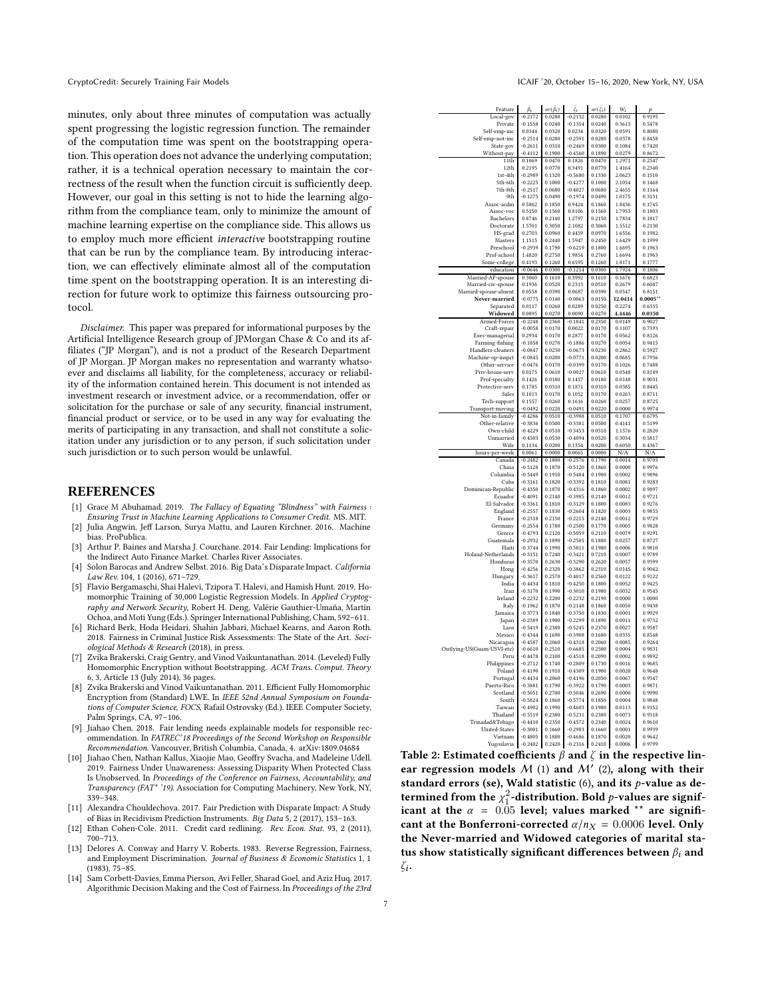minutes, only about three minutes of computation was actually spent progressing the logistic regression function. The remainder of the computation time was spent on the bootstrapping operation. This operation does not advance the underlying computation; rather, it is a technical operation necessary to maintain the correctness of the result when the function circuit is sufficiently deep. However, our goal in this setting is not to hide the learning algorithm from the compliance team, only to minimize the amount of machine learning expertise on the compliance side. This allows us to employ much more efficient interactive bootstrapping routine that can be run by the compliance team. By introducing interaction, we can effectively eliminate almost all of the computation time spent on the bootstrapping operation. It is an interesting direction for future work to optimize this fairness outsourcing protocol.

Disclaimer. This paper was prepared for informational purposes by the Artificial Intelligence Research group of JPMorgan Chase & Co and its affiliates ("JP Morgan"), and is not a product of the Research Department of JP Morgan. JP Morgan makes no representation and warranty whatsoever and disclaims all liability, for the completeness, accuracy or reliability of the information contained herein. This document is not intended as investment research or investment advice, or a recommendation, offer or solicitation for the purchase or sale of any security, financial instrument, financial product or service, or to be used in any way for evaluating the merits of participating in any transaction, and shall not constitute a solicitation under any jurisdiction or to any person, if such solicitation under such jurisdiction or to such person would be unlawful.

#### REFERENCES

- <span id="page-6-7"></span>[1] Grace M Abuhamad. 2019. The Fallacy of Equating "Blindness" with Fairness : Ensuring Trust in Machine Learning Applications to Consumer Credit. MS. MIT.
- <span id="page-6-0"></span>[2] Julia Angwin, Jeff Larson, Surya Mattu, and Lauren Kirchner. 2016. Machine bias. ProPublica.
- <span id="page-6-4"></span>[3] Arthur P. Baines and Marsha J. Courchane. 2014. Fair Lending: Implications for the Indirect Auto Finance Market. Charles River Associates.
- <span id="page-6-1"></span>[4] Solon Barocas and Andrew Selbst. 2016. Big Data's Disparate Impact. California Law Rev. 104, 1 (2016), 671–729.
- <span id="page-6-14"></span>[5] Flavio Bergamaschi, Shai Halevi, Tzipora T. Halevi, and Hamish Hunt. 2019. Homomorphic Training of 30,000 Logistic Regression Models. In Applied Cryptography and Network Security, Robert H. Deng, Valérie Gauthier-Umaña, Martín Ochoa, and Moti Yung (Eds.). Springer International Publishing, Cham, 592–611.
- <span id="page-6-5"></span>[6] Richard Berk, Hoda Heidari, Shahin Jabbari, Michael Kearns, and Aaron Roth. 2018. Fairness in Criminal Justice Risk Assessments: The State of the Art. Sociological Methods & Research (2018), in press.
- <span id="page-6-11"></span>[7] Zvika Brakerski, Craig Gentry, and Vinod Vaikuntanathan. 2014. (Leveled) Fully Homomorphic Encryption without Bootstrapping. ACM Trans. Comput. Theory 6, 3, Article 13 (July 2014), 36 pages.
- <span id="page-6-12"></span>[8] Zvika Brakerski and Vinod Vaikuntanathan. 2011. Efficient Fully Homomorphic Encryption from (Standard) LWE. In IEEE 52nd Annual Symposium on Foundations of Computer Science, FOCS, Rafail Ostrovsky (Ed.). IEEE Computer Society, Palm Springs, CA, 97–106.
- <span id="page-6-2"></span>[9] Jiahao Chen. 2018. Fair lending needs explainable models for responsible recommendation. In FATREC'18 Proceedings of the Second Workshop on Responsible Recommendation. Vancouver, British Columbia, Canada, 4. arXiv[:1809.04684](https://arxiv.org/abs/1809.04684)
- <span id="page-6-8"></span>[10] Jiahao Chen, Nathan Kallus, Xiaojie Mao, Geoffry Svacha, and Madeleine Udell. 2019. Fairness Under Unawareness: Assessing Disparity When Protected Class Is Unobserved. In Proceedings of the Conference on Fairness, Accountability, and Transparency (FAT\* '19). Association for Computing Machinery, New York, NY, 339–348.
- <span id="page-6-6"></span>[11] Alexandra Chouldechova. 2017. Fair Prediction with Disparate Impact: A Study of Bias in Recidivism Prediction Instruments. Big Data 5, 2 (2017), 153–163.
- <span id="page-6-3"></span>[12] Ethan Cohen-Cole. 2011. Credit card redlining. Rev. Econ. Stat. 93, 2 (2011), 700–713.
- <span id="page-6-9"></span>[13] Delores A. Conway and Harry V. Roberts. 1983. Reverse Regression, Fairness, and Employment Discrimination. Journal of Business & Economic Statistics 1, 1 (1983), 75–85.
- <span id="page-6-10"></span>[14] Sam Corbett-Davies, Emma Pierson, Avi Feller, Sharad Goel, and Aziz Huq. 2017. Algorithmic Decision Making and the Cost of Fairness. In Proceedings of the 23rd

<span id="page-6-13"></span>

| Feature                                 | $\tilde{\beta}_i$      | $se(\hat{\beta}_i)$ | ξı<br>$\overline{\phantom{a}}$ | $se(\hat{\zeta}_i)$ | $W_i$            | p                |
|-----------------------------------------|------------------------|---------------------|--------------------------------|---------------------|------------------|------------------|
| Local-gov<br>Private                    | $-0.2172$<br>$-0.1558$ | 0.0280<br>0.0240    | $-0.2132$<br>0.1354            | 0.0280<br>0.0240    | 0.0102<br>0.3613 | 0.9195<br>0.5478 |
| Self-emp-inc                            | 0.0344                 | 0.0320              | 0.0234                         | 0.0320              | 0.0591           | 0.8080           |
| Self-emp-not-inc                        | $-0.2514$              | 0.0280              | $-0.2591$                      | 0.0280              | 0.0378           | 0.8458           |
| State-gov                               | $-0.2611$<br>$-0.4112$ | 0.0310<br>0.1900    | $-0.2469$<br>$-0.4560$         | 0.0300<br>0.1890    | 0.1084<br>0.0279 | 0.7420<br>0.8672 |
| Without-pay<br>11 <sup>th</sup>         | 0.1069                 | 0.0470              | 0.1826                         | 0.0470              | 1.2971           | 0.2547           |
| 12th                                    | 0.2195                 | 0.0770              | 0.3491                         | 0.0770              | 1.4164           | 0.2340           |
| $1cf-4th$                               | $-0.2989$              | 0.1320              | $-0.5680$                      | 0.1330              | 2.0623           | 0.1510           |
| 5th-6th<br>7th-8th                      | $-0.2225$<br>$-0.2517$ | 0.1000<br>0.0680    | $-0.4277$<br>$-0.4027$         | 0.1000<br>0.0680    | 2.1054<br>2.4655 | 0.1468<br>0.1164 |
| 9th                                     | $-0.1275$              | 0.0490              | $-0.1974$                      | 0.0490              | 1.0175           | 0.3131           |
| Assoc-acdm                              | 0.5862                 | 0.1850              | 0.9424                         | 0.1860              | 1.8436           | 0.1745           |
| Assoc-voc                               | 0.5150                 | 0.1560              | 0.8106                         | 0.1560              | 1.7953           | 0.1803           |
| Bachelors<br>Doctorate                  | 0.8746<br>1.5701       | 0.2140<br>0.3050    | 1.2797<br>2.1082               | 0.2150<br>0.3060    | 1.7834<br>1.5512 | 0.1817<br>0.2130 |
| HS-grad                                 | 0.2703                 | 0.0960              | 0.4459                         | 0.0970              | 1.6556           | 0.1982           |
| Masters                                 | 1.1515                 | 0.2440              | 1.5947                         | 0.2450              | 1.6429           | 0.1999           |
| Preschool                               | $-0.2939$<br>1.4820    | 0.1790              | $-0.6219$                      | 0.1800              | 1.6695           | 0.1963<br>0.1963 |
| Prof-school<br>Some-college             | 0.4193                 | 0.2750<br>0.1260    | 1.9854<br>0.6595               | 0.2760<br>0.1260    | 1.6694<br>1.8171 | 0.1777           |
| education                               | $-0.0646$              | 0.0300              | $-0.1214$                      | 0.0300              | 1.7924           | 0.1806           |
| Married-AF-spouse                       | 0.3060                 | 0.1610              | 0.3992                         | 0.1610              | 0.1676           | 0.6823           |
| Married-civ-spouse                      | 0.1936                 | 0.0520<br>0.0390    | 0.2313                         | 0.0510              | 0.2679<br>0.0547 | 0.6047<br>0.8151 |
| Married-spouse-absent<br>Never-married  | 0.0558<br>$-0.0775$    | 0.0140              | 0.0687<br>$-0.0063$            | 0.0390<br>0.0150    | 12.0414          | $0.0005***$      |
| Separated                               | 0.0117                 | 0.0260              | 0.0289                         | 0.0250              | 0.2274           | 0.6335           |
| Widowed                                 | 0.0895                 | 0.0270              | 0.0090                         | 0.0270              | 4.4446           | 0.0350           |
| Armed-Forces                            | $-0.2248$<br>$-0.0058$ | 0.2360<br>0.0170    | $-0.1841$<br>0.0022            | 0.2350<br>0.0170    | 0.0149<br>0.1107 | 0.9027<br>0.7393 |
| Craft-repair<br>Exec-managerial         | 0.2934                 | 0.0170              | 0.2877                         | 0.0170              | 0.0562           | 0.8126           |
| Farming-fishing                         | $-0.1858$              | 0.0270              | $-0.1886$                      | 0.0270              | 0.0054           | 0.9415           |
| Handlers-cleaners                       | $-0.0847$              | 0.0230              | $-0.0673$                      | 0.0230              | 0.2862           | 0.5927           |
| Machine-op-inspct<br>Other-service      | $-0.0845$<br>$-0.0476$ | 0.0200<br>0.0170    | $-0.0771$<br>$-0.0399$         | 0.0200<br>0.0170    | 0.0685<br>0.1026 | 0.7936<br>0.7488 |
| Priv-house-serv                         | 0.0175                 | 0.0610              | $-0.0027$                      | 0.0610              | 0.0548           | 0.8149           |
| Prof-specialty                          | 0.1426                 | 0.0180              | 0.1457                         | 0.0180              | 0.0148           | 0.9031           |
| Protective-serv<br>Sales                | 0.1785                 | 0.0310              | 0.1871                         | 0.0310              | 0.0385           | 0.8445           |
| Tech-support                            | 0.1013<br>0.1557       | 0.0170<br>0.0260    | 0.1052<br>0.1616               | 0.0170<br>0.0260    | 0.0263<br>0.0257 | 0.8711<br>0.8725 |
| Transport-moving                        | $-0.0492$              | 0.0220              | $-0.0491$                      | 0.0220              | 0.0000           | 0.9974           |
| Not-in-family                           | $-0.4286$              | 0.0510              | $-0.3988$                      | 0.0510              | 0.1707           | 0.6795           |
| Other-relative<br>Own-child             | $-0.3836$<br>$-0.4229$ | 0.0500<br>0.0510    | $-0.3381$<br>$-0.3453$         | 0.0500<br>0.0510    | 0.4141<br>1.1576 | 0.5199<br>0.2820 |
| Unmarried                               | $-0.4503$              | 0.0530              | $-0.4094$                      | 0.0520              | 0.3034           | 0.5817           |
| Wife                                    | 0.1134                 | 0.0200              | 0.1354                         | 0.0200              | 0.6050           | 0.4367           |
| hours-per-week                          | 0.0061                 | 0.0000<br>0.1800    | 0.0065                         | 0.0000              | N/A<br>0.0014    | N/A              |
| Canada<br>China                         | $-0.2482$<br>$-0.5128$ | 0.1870              | $-0.2576$<br>$-0.5120$         | 0.1790<br>0.1860    | 0.0000           | 0.9705<br>0.9976 |
| Columbia                                | $-0.5449$              | 0.1910              | $-0.5484$                      | 0.1900              | 0.0002           | 0.9896           |
| Cuba                                    | $-0.3161$              | 0.1820              | $-0.3392$                      | 0.1810              | 0.0081           | 0.9283           |
| Dominican-Republic<br>Ecuador           | $-0.4350$<br>$-0.4091$ | 0.1870<br>0.2140    | $-0.4316$<br>$-0.3985$         | 0.1860<br>0.2140    | 0.0002<br>0.0012 | 0.9897<br>0.9721 |
| El-Salvador                             | $-0.3361$              | 0.1810              | $-0.3129$                      | 0.1800              | 0.0083           | 0.9276           |
| England                                 | $-0.2557$              | 0.1830              | $-0.2604$                      | 0.1820              | 0.0003           | 0.9855           |
| France                                  | $-0.2318$              | 0.2150              | $-0.2215$                      | 0.2140              | 0.0012           | 0.9729           |
| Germany<br>Greece                       | $-0.2554$<br>$-0.4793$ | 0.1780<br>0.2120    | $-0.2500$<br>$-0.5059$         | 0.1770<br>0.2110    | 0.0005<br>0.0079 | 0.9828<br>0.9291 |
| Guatemala                               | $-0.2932$              | 0.1890              | $-0.2505$                      | 0.1880              | 0.0257           | 0.8727           |
| Haiti                                   | $-0.3744$              | 0.1990              | $-0.3811$                      | 0.1980              | 0.0006           | 0.9810           |
| Holand-Netherlands<br>Honduras          | $-0.3151$<br>$-0.3570$ | 0.7240<br>0.2630    | $-0.3421$<br>$-0.3290$         | 0.7210<br>0.2620    | 0.0007<br>0.0057 | 0.9789<br>0.9399 |
| Hong                                    | $-0.4256$              | 0.2320              | $-0.3862$                      | 0.2310              | 0.0145           | 0.9042           |
| Hungary                                 | $-0.3617$              | 0.2570              | $-0.4017$                      | 0.2560              | 0.0122           | 0.9122           |
| India<br>Iran                           | $-0.4434$<br>$-0.3170$ | 0.1810<br>0.1990    | $-0.4250$<br>$-0.3010$         | 0.1800<br>0.1980    | 0.0052<br>0.0032 | 0.9425<br>0.9545 |
| Ireland                                 | $-0.2232$              | 0.2200              | $-0.2232$                      | 0.2190              | 0.0000           | 1.0000           |
| Italy                                   | $-0.1962$              | 0.1870              | $-0.2148$                      | 0.1860              | 0.0050           | 0.9438           |
| <b>Jamaica</b>                          | $-0.3773$              | 0.1840              | $-0.3750$                      | 0.1830              | 0.0001           | 0.9929           |
| Japan<br>Laos                           | $-0.2389$<br>$-0.5419$ | 0.1900<br>0.2380    | $-0.2299$<br>$-0.5245$         | 0.1890<br>0.2370    | 0.0011<br>0.0027 | 0.9732<br>0.9587 |
| Mexico                                  | $-0.4344$              | 0.1690              | $-0.3908$                      | 0.1680              | 0.0335           | 0.8548           |
| Nicaragua                               | $-0.4587$              | 0.2060              | $-0.4318$                      | 0.2060              | 0.0085           | 0.9264           |
| Outlying-US(Guam-USVI-etc)              | $-0.6610$<br>$-0.4478$ | 0.2510<br>0.2100    | $-0.6685$<br>$-0.4518$         | 0.2500<br>0.2090    | 0.0004<br>0.0002 | 0.9831<br>0.9892 |
| Peru<br>Philippines                     | $-0.2712$              | 0.1740              | $-0.2809$                      | 0.1730              | 0.0016           | 0.9685           |
| Poland                                  | $-0.4190$              | 0.1910              | $-0.4309$                      | 0.1900              | 0.0020           | 0.9648           |
| Portugal                                | $-0.4434$              | 0.2060              | $-0.4196$                      | 0.2050              | 0.0067           | 0.9347           |
| Puerto-Rico<br>Scotland                 | $-0.3881$<br>$-0.5051$ | 0.1790<br>0.2700    | $-0.3922$<br>$-0.5046$         | 0.1790<br>0.2690    | 0.0003<br>0.0000 | 0.9871<br>0.9990 |
| South                                   | $-0.5824$              | 0.1860              | $-0.5774$                      | 0.1850              | 0.0004           | 0.9848           |
| Taiwan                                  | $-0.4902$              | 0.1990              | $-0.4603$                      | 0.1980              | 0.0113           | 0.9152           |
| Thailand                                | $-0.5519$              | 0.2380<br>0.2350    | $-0.5231$                      | 0.2380<br>0.2340    | 0.0073<br>0.0024 | 0.9318<br>0.9610 |
| Trinadad&Tobago<br><b>United-States</b> | $-0.4410$<br>$-0.3001$ | 0.1660              | $-0.4572$<br>$-0.2983$         | 0.1660              | 0.0001           | 0.9939           |
| Vietnam                                 | $-0.4805$              | 0.1880              | $-0.4686$                      | 0.1870              | 0.0020           | 0.9642           |
| Yugoslavia                              | $-0.2402$              | 0.2420              | $-0.2316$                      | 0.2410              | 0.0006           | 0.9799           |

Table 2: Estimated coefficients  $\beta$  and  $\zeta$  in the respective linear regression models  $M$  [\(1\)](#page-2-2) and  $M'$  [\(2\)](#page-2-3), along with their standard errors (se), Wald statistic  $(6)$ , and its p-value as determined from the  $\chi^2_1$ -distribution. Bold  $p$ -values are significant at the  $\alpha = 0.05$  level; values marked \*\* are significant at the Bonferroni-corrected  $\alpha/n_X = 0.0006$  level. Only the Never-married and Widowed categories of marital status show statistically significant differences between  $\beta_i$  and  $\zeta_i.$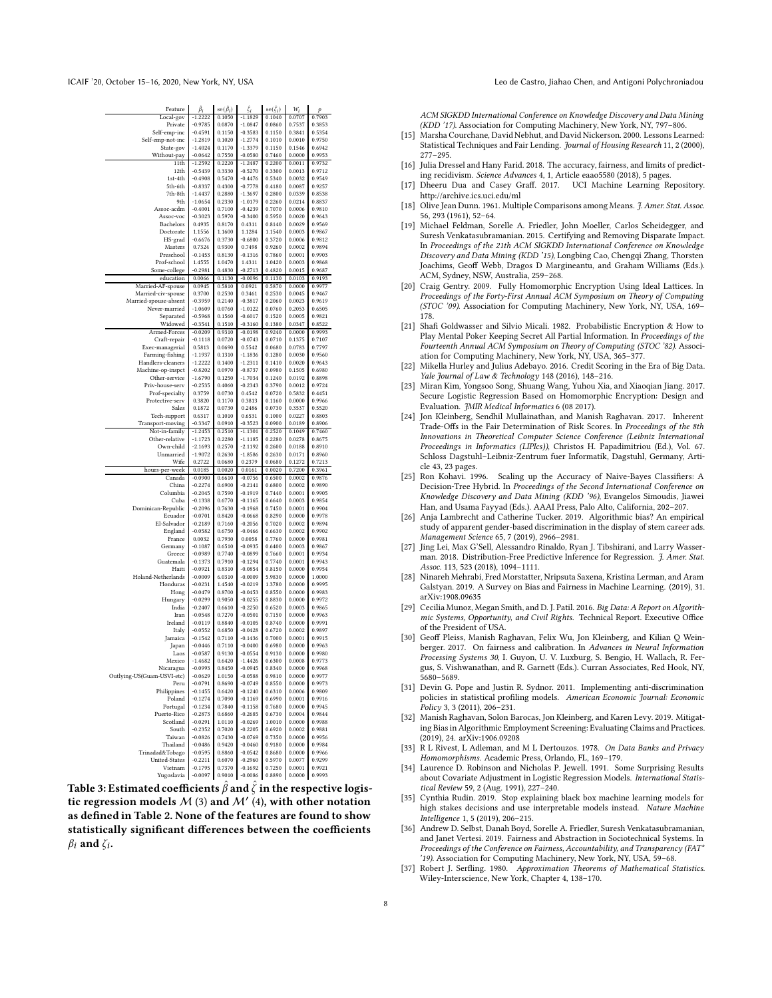<span id="page-7-22"></span>

| Feature                              | $\beta_i$              | $se(\beta_i)$    | ζi                     | $se(\zeta_i)$    | $W_i$            | p                |
|--------------------------------------|------------------------|------------------|------------------------|------------------|------------------|------------------|
| Local-gov                            | $-1.2222$              | 0.1050           | $-1.1829$              | 0.1040           | 0.0707           | 0.7903           |
| Private                              | $-0.9785$              | 0.0870           | $-1.0847$              | 0.0860           | 0.7537           | 0.3853           |
| Self-emp-inc                         | $-0.4591$              | 0.1150           | $-0.3583$              | 0.1150           | 0.3841           | 0.5354           |
| Self-emp-not-inc                     | $-1.2819$              | 0.1020           | $-1.2774$              | 0.1010           | 0.0010           | 0.9750           |
| State-gov                            | $-1.4024$              | 0.1170           | $-1.3379$              | 0.1150           | 0.1546           | 0.6942           |
| Without-pay                          | $-0.0642$              | 0.7550           | $-0.0580$              | 0.7460           | 0.0000           | 0.9953           |
| 11th                                 | $-1.2592$              | 0.2220           | $-1.2487$              | 0.2200           | 0.0011           | 0.9732           |
| 12th                                 | $-0.5439$              | 0.3330           | $-0.5270$              | 0.3300           | 0.0013           | 0.9712           |
| 1st-4th                              | $-0.4908$              | 0.5470           | $-0.4476$              | 0.5340           | 0.0032           | 0.9549           |
| 5th-6th                              | $-0.8337$              | 0.4300           | $-0.7778$              | 0.4180           | 0.0087           | 0.9257           |
| 7th-8th                              | $-1.4437$              | 0.2880           | $-1.3697$              | 0.2800           | 0.0339           | 0.8538           |
| 9th                                  | $-1.0654$              | 0.2330           | $-1.0179$              | 0.2260           | 0.0214           | 0.8837           |
| Assoc-acdm                           | $-0.4001$              | 0.7100           | $-0.4239$              | 0.7070           | 0.0006           | 0.9810           |
| Assoc-voc                            | $-0.3023$              | 0.5970           | $-0.3400$              | 0.5950           | 0.0020           | 0.9643           |
| Bachelors                            | 0.4935                 | 0.8170           | 0.4311                 | 0.8140           | 0.0029           | 0.9569           |
| Doctorate                            | 1.1556                 | 1.1600           | 1.1284                 | 1.1540           | 0.0003           | 0.9867           |
| HS-grad                              | $-0.6676$              | 0.3730           | $-0.6800$              | 0.3720           | 0.0006           | 0.9812           |
| Masters                              | 0.7324                 | 0.9300           | 0.7498                 | 0.9260           | 0.0002           | 0.9894           |
| Preschool                            | $-0.1453$              | 0.8130           | $-0.1316$              | 0.7860           | 0.0001           | 0.9903           |
| Prof-school                          | 1.4555                 | 1.0470           | 1.4311                 | 1.0420           | 0.0003           | 0.9868           |
| Some-college                         | $-0.2981$              | 0.4830           | $-0.2713$              | 0.4820           | 0.0015           | 0.9687           |
| education                            | 0.0066                 | 0.1130           | $-0.0096$              | 0.1130           | 0.0103           | 0.9193           |
| Married-AF-spouse                    | 0.0945                 | 0.5810           | 0.0921                 | 0.5870           | 0.0000           | 0.9977           |
| Married-civ-spouse                   | 0.3700                 | 0.2530           | 0.3461                 | 0.2530           | 0.0045           | 0.9467           |
| Married-spouse-absent                | $-0.3959$              | 0.2140           | $-0.3817$              | 0.2060           | 0.0023           | 0.9619           |
| Never-married                        | $-1.0609$<br>$-0.5968$ | 0.0760           | $-1.0122$              | 0.0760           | 0.2053<br>0.0005 | 0.6505           |
| Separated<br>Widowed                 | $-0.3541$              | 0.1560<br>0.1510 | $-0.6017$<br>$-0.3160$ | 0.1520<br>0.1380 | 0.0347           | 0.9821<br>0.8522 |
| Armed-Forces                         | $-0.0209$              | 0.9310           | $-0.0198$              | 0.9240           | 0.0000           | 0.9993           |
|                                      | $-0.1118$              |                  | $-0.0743$              | 0.0710           |                  | 0.7107           |
| Craft-repair                         |                        | 0.0720           | 0.5542                 |                  | 0.1375           | 0.7797           |
| Exec-managerial                      | 0.5813                 | 0.0690           |                        | 0.0680           | 0.0783           |                  |
| Farming-fishing<br>Handlers-cleaners | $-1.1937$<br>$-1.2222$ | 0.1310<br>0.1400 | $-1.1836$<br>$-1.2311$ | 0.1280<br>0.1410 | 0.0030<br>0.0020 | 0.9560<br>0.9643 |
| Machine-op-inspct                    | $-0.8202$              | 0.0970           | $-0.8737$              | 0.0980           | 0.1505           | 0.6980           |
| Other-service                        | $-1.6790$              | 0.1250           | $-1.7034$              | 0.1240           | 0.0192           | 0.8898           |
| Priv-house-serv                      | $-0.2535$              | 0.4060           | $-0.2343$              | 0.3790           | 0.0012           | 0.9724           |
| Prof-specialty                       | 0.3759                 | 0.0730           | 0.4542                 | 0.0720           | 0.5832           | 0.4451           |
| Protective-serv                      | 0.3820                 | 0.1170           | 0.3813                 | 0.1160           | 0.0000           | 0.9966           |
| Sales                                | 0.1872                 | 0.0730           | 0.2486                 | 0.0730           | 0.3537           | 0.5520           |
| Tech-support                         | 0.6317                 | 0.1010           | 0.6531                 | 0.1000           | 0.0227           | 0.8803           |
| Transport-moving                     | $-0.3347$              | 0.0910           | $-0.3523$              | 0.0900           | 0.0189           | 0.8906           |
| Not-in-family                        | $-1.2453$              | 0.2510           | $-1.1301$              | 0.2520           | 0.1049           | 0.7460           |
| Other-relative                       | $-1.1723$              | 0.2280           | $-1.1185$              | 0.2280           | 0.0278           | 0.8675           |
| Own-child                            | $-2.1693$              | 0.2570           | $-2.1192$              | 0.2600           | 0.0188           | 0.8910           |
| Unmarried                            | $-1.9072$              | 0.2630           | $-1.8586$              | 0.2630           | 0.0171           | 0.8960           |
| Wife                                 | 0.2722                 | 0.0680           | 0.2379                 | 0.0680           | 0.1272           | 0.7213           |
| hours-per-week                       | 0.0185                 | 0.0020           | 0.0161                 | 0.0020           | 0.7200           | 0.3961           |
| Canada                               | $-0.0900$              | 0.6610           | $-0.0756$              | 0.6500           | 0.0002           | 0.9876           |
| China                                | $-0.2274$              | 0.6900           | $-0.2141$              | 0.6800           | 0.0002           | 0.9890           |
| Columbia                             | $-0.2045$              | 0.7590           | $-0.1919$              | 0.7440           | 0.0001           | 0.9905           |
| Cuba                                 | $-0.1338$              | 0.6770           | $-0.1165$              | 0.6640           | 0.0003           | 0.9854           |
| Dominican-Republic                   | $-0.2096$              | 0.7630           | $-0.1968$              | 0.7450           | 0.0001           | 0.9904           |
| Ecuador                              | $-0.0701$              | 0.8420           | $-0.0668$              | 0.8290           | 0.0000           | 0.9978           |
| El-Salvador                          | $-0.2189$              | 0.7160           | $-0.2056$              | 0.7020           | 0.0002           | 0.9894           |
| England                              | $-0.0582$              | 0.6750           | $-0.0466$              | 0.6630           | 0.0002           | 0.9902           |
| France                               | 0.0032                 | 0.7930           | 0.0058                 | 0.7760           | 0.0000           | 0.9981           |
| Germany                              | $-0.1087$              | 0.6510           | $-0.0935$              | 0.6400           | 0.0003           | 0.9867           |
| Greece                               | $-0.0989$              | 0.7740           | $-0.0899$              | 0.7660           | 0.0001           | 0.9934           |
| Guatemala                            | $-0.1373$              | 0.7910           | $-0.1294$              | 0.7740           | 0.0001           | 0.9943           |
| Haiti<br>Holand-Netherlands          | $-0.0921$<br>$-0.0009$ | 0.8310<br>6.0310 | $-0.0854$<br>$-0.0009$ | 0.8150<br>5.9830 | 0.0000<br>0.0000 | 0.9954<br>1.0000 |
| Honduras                             | $-0.0231$              | 1.4540           | $-0.0219$              | 1.3780           | 0.0000           | 0.9995           |
| Hong                                 | $-0.0479$              | 0.8700           | $-0.0453$              | 0.8550           | 0.0000           | 0.9983           |
| Hungary                              | $-0.0299$              | 0.9050           | $-0.0255$              | 0.8830           | 0.0000           | 0.9972           |
| India                                | $-0.2407$              | 0.6610           | $-0.2250$              | 0.6520           | 0.0003           | 0.9865           |
| Iran                                 | $-0.0548$              | 0.7270           | $-0.0501$              | 0.7150           | 0.0000           | 0.9963           |
| Ireland                              | $-0.0119$              | 0.8840           | $-0.0105$              | 0.8740           | 0.0000           | 0.9991           |
| Italy                                | $-0.0552$              | 0.6850           | $-0.0428$              | 0.6720           | 0.0002           | 0.9897           |
| Jamaica                              | $-0.1542$              | 0.7110           | $-0.1436$              | 0.7000           | 0.0001           | 0.9915           |
| Japan                                | $-0.0446$              | 0.7110           | $-0.0400$              | 0.6980           | 0.0000           | 0.9963           |
| Laos                                 | $-0.0587$              | 0.9130           | $-0.0554$              | 0.9130           | 0.0000           | 0.9980           |
| Mexico                               | $-1.4682$              | 0.6420           | $-1.4426$              | 0.6300           | 0.0008           | 0.9773           |
| Nicaragua                            | $-0.0993$              | 0.8450           | $-0.0945$              | 0.8340           | 0.0000           | 0.9968           |
| Outlying-US(Guam-USVI-etc)           | $-0.0629$              | 1.0150           | $-0.0588$              | 0.9810           | 0.0000           | 0.9977           |
| Peru                                 | $-0.0791$              | 0.8690           | $-0.0749$              | 0.8550           | 0.0000           | 0.9973           |
| Philippines                          | $-0.1455$              | 0.6420           | $-0.1240$              | 0.6310           | 0.0006           | 0.9809           |
| Poland                               | $-0.1274$              | 0.7090           | $-0.1169$              | 0.6990           | 0.0001           | 0.9916           |
| Portugal                             | $-0.1234$              | 0.7840           | $-0.1158$              | 0.7680           | 0.0000           | 0.9945           |
| Puerto-Rico                          | $-0.2873$              | 0.6860           | $-0.2685$              | 0.6730           | 0.0004           | 0.9844           |
| Scotland                             | $-0.0291$              | 1.0110           | $-0.0269$              | 1.0010           | 0.0000           | 0.9988           |
| South                                | $-0.2352$              | 0.7020           | $-0.2205$              | 0.6920           | 0.0002           | 0.9881           |
| Taiwan                               | $-0.0826$              | 0.7430           | $-0.0769$              | 0.7350           | 0.0000           | 0.9956           |
| Thailand                             | $-0.0486$              | 0.9420           | $-0.0460$              | 0.9180           | 0.0000           | 0.9984           |
| Trinadad&Tobago                      | $-0.0595$              | 0.8860           | $-0.0542$              | 0.8680           | 0.0000           | 0.9966           |
| United-States                        | $-0.2211$              | 0.6070           | $-0.2960$              | 0.5970           | 0.0077           | 0.9299           |
| Vietnam<br>Yugoslavia                | $-0.1795$<br>$-0.0097$ | 0.7370<br>0.9010 | $-0.1692$<br>$-0.0086$ | 0.7250<br>0.8890 | 0.0001<br>0.0000 | 0.9921<br>0.9993 |
|                                      |                        |                  |                        |                  |                  |                  |

Table 3: Estimated coefficients  $\hat{\beta}$  and  $\hat{\zeta}$  in the respective logistic regression models  $M$  [\(3\)](#page-2-4) and  $M'$  [\(4\)](#page-2-5), with other notation as defined in Table [2.](#page-6-13) None of the features are found to show statistically significant differences between the coefficients  $\beta_i$  and  $\zeta_i$ .

ACM SIGKDD International Conference on Knowledge Discovery and Data Mining (KDD '17). Association for Computing Machinery, New York, NY, 797–806.

- <span id="page-7-1"></span>[15] Marsha Courchane, David Nebhut, and David Nickerson. 2000. Lessons Learned: Statistical Techniques and Fair Lending. Journal of Housing Research 11, 2 (2000), 277–295.
- <span id="page-7-0"></span>[16] Julia Dressel and Hany Farid. 2018. The accuracy, fairness, and limits of predicting recidivism. Science Advances 4, 1, Article eaao5580 (2018), 5 pages.
- <span id="page-7-6"></span>[17] Dheeru Dua and Casey Graff. 2017. UCI Machine Learning Repository. <http://archive.ics.uci.edu/ml>
- <span id="page-7-21"></span>[18] Olive Jean Dunn. 1961. Multiple Comparisons among Means. J. Amer. Stat. Assoc. 56, 293 (1961), 52–64.
- <span id="page-7-3"></span>[19] Michael Feldman, Sorelle A. Friedler, John Moeller, Carlos Scheidegger, and Suresh Venkatasubramanian. 2015. Certifying and Removing Disparate Impact. In Proceedings of the 21th ACM SIGKDD International Conference on Knowledge Discovery and Data Mining (KDD '15), Longbing Cao, Chengqi Zhang, Thorsten Joachims, Geoff Webb, Dragos D Margineantu, and Graham Williams (Eds.). ACM, Sydney, NSW, Australia, 259–268.
- <span id="page-7-18"></span>[20] Craig Gentry. 2009. Fully Homomorphic Encryption Using Ideal Lattices. In Proceedings of the Forty-First Annual ACM Symposium on Theory of Computing (STOC '09). Association for Computing Machinery, New York, NY, USA, 169– 178.
- <span id="page-7-19"></span>[21] Shafi Goldwasser and Silvio Micali. 1982. Probabilistic Encryption & How to Play Mental Poker Keeping Secret All Partial Information. In Proceedings of the Fourteenth Annual ACM Symposium on Theory of Computing (STOC '82). Association for Computing Machinery, New York, NY, USA, 365–377.
- <span id="page-7-2"></span>[22] Mikella Hurley and Julius Adebayo. 2016. Credit Scoring in the Era of Big Data. Yale Journal of Law & Technology 148 (2016), 148–216.
- <span id="page-7-23"></span>[23] Miran Kim, Yongsoo Song, Shuang Wang, Yuhou Xia, and Xiaoqian Jiang. 2017. Secure Logistic Regression Based on Homomorphic Encryption: Design and Evaluation. JMIR Medical Informatics 6 (08 2017).
- <span id="page-7-14"></span>[24] Jon Kleinberg, Sendhil Mullainathan, and Manish Raghavan. 2017. Inherent Trade-Offs in the Fair Determination of Risk Scores. In Proceedings of the 8th Innovations in Theoretical Computer Science Conference (Leibniz International Proceedings in Informatics (LIPIcs)), Christos H. Papadimitriou (Ed.), Vol. 67. Schloss Dagstuhl–Leibniz-Zentrum fuer Informatik, Dagstuhl, Germany, Article 43, 23 pages.
- <span id="page-7-7"></span>[25] Ron Kohavi. 1996. Scaling up the Accuracy of Naive-Bayes Classifiers: A Decision-Tree Hybrid. In Proceedings of the Second International Conference on Knowledge Discovery and Data Mining (KDD '96), Evangelos Simoudis, Jiawei Han, and Usama Fayyad (Eds.). AAAI Press, Palo Alto, California, 202–207.
- <span id="page-7-10"></span>[26] Anja Lambrecht and Catherine Tucker. 2019. Algorithmic bias? An empirical study of apparent gender-based discrimination in the display of stem career ads. Management Science 65, 7 (2019), 2966–2981.
- <span id="page-7-16"></span>[27] Jing Lei, Max G'Sell, Alessandro Rinaldo, Ryan J. Tibshirani, and Larry Wasserman. 2018. Distribution-Free Predictive Inference for Regression. J. Amer. Stat. Assoc. 113, 523 (2018), 1094–1111.
- <span id="page-7-9"></span>[28] Ninareh Mehrabi, Fred Morstatter, Nripsuta Saxena, Kristina Lerman, and Aram Galstyan. 2019. A Survey on Bias and Fairness in Machine Learning. (2019), 31. arXiv[:1908.09635](https://arxiv.org/abs/1908.09635)
- <span id="page-7-8"></span>[29] Cecilia Munoz, Megan Smith, and D. J. Patil. 2016. Big Data: A Report on Algorithmic Systems, Opportunity, and Civil Rights. Technical Report. Executive Office of the President of USA.
- <span id="page-7-15"></span>[30] Geoff Pleiss, Manish Raghavan, Felix Wu, Jon Kleinberg, and Kilian Q Weinberger. 2017. On fairness and calibration. In Advances in Neural Information Processing Systems 30, I. Guyon, U. V. Luxburg, S. Bengio, H. Wallach, R. Fergus, S. Vishwanathan, and R. Garnett (Eds.). Curran Associates, Red Hook, NY, 5680–5689.
- <span id="page-7-4"></span>[31] Devin G. Pope and Justin R. Sydnor. 2011. Implementing anti-discrimination policies in statistical profiling models. American Economic Journal: Economic Policy 3, 3 (2011), 206–231.
- <span id="page-7-11"></span>[32] Manish Raghavan, Solon Barocas, Jon Kleinberg, and Karen Levy. 2019. Mitigating Bias in Algorithmic Employment Screening: Evaluating Claims and Practices. (2019), 24. arXiv[:1906.09208](https://arxiv.org/abs/1906.09208)
- <span id="page-7-17"></span>[33] R L Rivest, L Adleman, and M L Dertouzos. 1978. On Data Banks and Privacy Homomorphisms. Academic Press, Orlando, FL, 169–179.
- <span id="page-7-20"></span>[34] Laurence D. Robinson and Nicholas P. Jewell. 1991. Some Surprising Results about Covariate Adjustment in Logistic Regression Models. International Statistical Review 59, 2 (Aug. 1991), 227–240.
- <span id="page-7-12"></span>[35] Cynthia Rudin. 2019. Stop explaining black box machine learning models for high stakes decisions and use interpretable models instead. Nature Machine Intelligence 1, 5 (2019), 206–215.
- <span id="page-7-13"></span>[36] Andrew D. Selbst, Danah Boyd, Sorelle A. Friedler, Suresh Venkatasubramanian, and Janet Vertesi. 2019. Fairness and Abstraction in Sociotechnical Systems. In Proceedings of the Conference on Fairness, Accountability, and Transparency (FAT\* '19). Association for Computing Machinery, New York, NY, USA, 59–68.
- <span id="page-7-5"></span>[37] Robert J. Serfling. 1980. Approximation Theorems of Mathematical Statistics. Wiley-Interscience, New York, Chapter 4, 138–170.